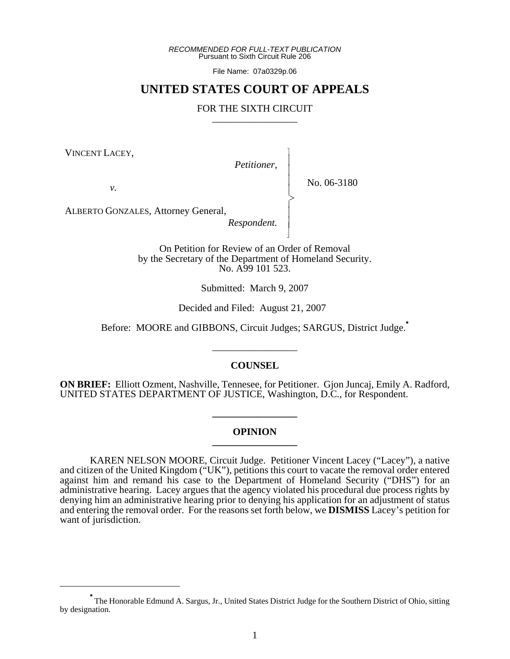*RECOMMENDED FOR FULL-TEXT PUBLICATION* Pursuant to Sixth Circuit Rule 206

File Name: 07a0329p.06

# **UNITED STATES COURT OF APPEALS**

## FOR THE SIXTH CIRCUIT

VINCENT LACEY,

*Petitioner,*

 $\overline{\phantom{a}}$ - - - -  $\succ$ |<br>|<br>| - - N

*v.*

No. 06-3180

ALBERTO GONZALES, Attorney General,

*Respondent.*

On Petition for Review of an Order of Removal by the Secretary of the Department of Homeland Security. No. A99 101 523.

Submitted: March 9, 2007

Decided and Filed: August 21, 2007

Before: MOORE and GIBBONS, Circuit Judges; SARGUS, District Judge.**\***

\_\_\_\_\_\_\_\_\_\_\_\_\_\_\_\_\_

#### **COUNSEL**

**ON BRIEF:** Elliott Ozment, Nashville, Tennesee, for Petitioner. Gjon Juncaj, Emily A. Radford, UNITED STATES DEPARTMENT OF JUSTICE, Washington, D.C., for Respondent.

#### **OPINION \_\_\_\_\_\_\_\_\_\_\_\_\_\_\_\_\_**

**\_\_\_\_\_\_\_\_\_\_\_\_\_\_\_\_\_**

KAREN NELSON MOORE, Circuit Judge. Petitioner Vincent Lacey ("Lacey"), a native and citizen of the United Kingdom ("UK"), petitions this court to vacate the removal order entered against him and remand his case to the Department of Homeland Security ("DHS") for an administrative hearing. Lacey argues that the agency violated his procedural due process rights by denying him an administrative hearing prior to denying his application for an adjustment of status and entering the removal order. For the reasons set forth below, we **DISMISS** Lacey's petition for want of jurisdiction.

**<sup>\*</sup>** The Honorable Edmund A. Sargus, Jr., United States District Judge for the Southern District of Ohio, sitting by designation.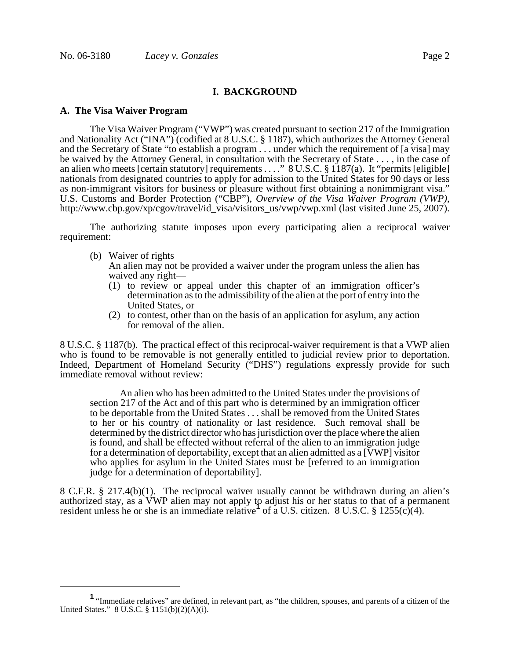## **I. BACKGROUND**

#### **A. The Visa Waiver Program**

The Visa Waiver Program ("VWP") was created pursuant to section 217 of the Immigration and Nationality Act ("INA") (codified at 8 U.S.C. § 1187), which authorizes the Attorney General and the Secretary of State "to establish a program . . . under which the requirement of [a visa] may be waived by the Attorney General, in consultation with the Secretary of State . . . , in the case of an alien who meets [certain statutory] requirements . . . ." 8 U.S.C. § 1187(a). It "permits [eligible] nationals from designated countries to apply for admission to the United States for 90 days or less as non-immigrant visitors for business or pleasure without first obtaining a nonimmigrant visa." U.S. Customs and Border Protection ("CBP"), *Overview of the Visa Waiver Program (VWP)*, http://www.cbp.gov/xp/cgov/travel/id\_visa/visitors\_us/vwp/vwp.xml (last visited June 25, 2007).

The authorizing statute imposes upon every participating alien a reciprocal waiver requirement:

(b) Waiver of rights

An alien may not be provided a waiver under the program unless the alien has waived any right—

- (1) to review or appeal under this chapter of an immigration officer's determination as to the admissibility of the alien at the port of entry into the United States, or
- (2) to contest, other than on the basis of an application for asylum, any action for removal of the alien.

8 U.S.C. § 1187(b). The practical effect of this reciprocal-waiver requirement is that a VWP alien who is found to be removable is not generally entitled to judicial review prior to deportation. Indeed, Department of Homeland Security ("DHS") regulations expressly provide for such immediate removal without review:

An alien who has been admitted to the United States under the provisions of section 217 of the Act and of this part who is determined by an immigration officer to be deportable from the United States . . . shall be removed from the United States to her or his country of nationality or last residence. Such removal shall be determined by the district director who has jurisdiction over the place where the alien is found, and shall be effected without referral of the alien to an immigration judge for a determination of deportability, except that an alien admitted as a [VWP] visitor who applies for asylum in the United States must be [referred to an immigration judge for a determination of deportability].

8 C.F.R. § 217.4(b)(1). The reciprocal waiver usually cannot be withdrawn during an alien's authorized stay, as a VWP alien may not apply to adjust his or her status to that of a permanent resident unless he or she is an immediate relative<sup>1</sup> of a U.S. citizen. 8 U.S.C. § 1255(c)(4).

**<sup>1</sup>** "Immediate relatives" are defined, in relevant part, as "the children, spouses, and parents of a citizen of the United States." 8 U.S.C. § 1151(b)(2)(A)(i).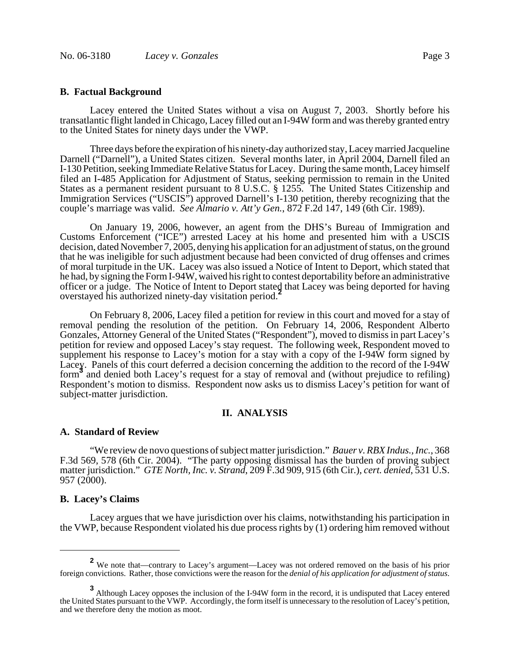## **B. Factual Background**

Lacey entered the United States without a visa on August 7, 2003. Shortly before his transatlantic flight landed in Chicago, Lacey filled out an I-94W form and was thereby granted entry to the United States for ninety days under the VWP.

Three days before the expiration of his ninety-day authorized stay, Lacey married Jacqueline Darnell ("Darnell"), a United States citizen. Several months later, in April 2004, Darnell filed an I-130 Petition, seeking Immediate Relative Status for Lacey. During the same month, Lacey himself filed an I-485 Application for Adjustment of Status, seeking permission to remain in the United States as a permanent resident pursuant to 8 U.S.C. § 1255. The United States Citizenship and Immigration Services ("USCIS") approved Darnell's I-130 petition, thereby recognizing that the couple's marriage was valid. *See Almario v. Att'y Gen.*, 872 F.2d 147, 149 (6th Cir. 1989).

On January 19, 2006, however, an agent from the DHS's Bureau of Immigration and Customs Enforcement ("ICE") arrested Lacey at his home and presented him with a USCIS decision, dated November 7, 2005, denying his application for an adjustment of status, on the ground that he was ineligible for such adjustment because had been convicted of drug offenses and crimes of moral turpitude in the UK. Lacey was also issued a Notice of Intent to Deport, which stated that he had, by signing the Form I-94W, waived his right to contest deportability before an administrative officer or a judge. The Notice of Intent to Deport stated that Lacey was being deported for having overstayed his authorized ninety-day visitation period.**<sup>2</sup>**

On February 8, 2006, Lacey filed a petition for review in this court and moved for a stay of removal pending the resolution of the petition. On February 14, 2006, Respondent Alberto Gonzales, Attorney General of the United States ("Respondent"), moved to dismiss in part Lacey's petition for review and opposed Lacey's stay request. The following week, Respondent moved to supplement his response to Lacey's motion for a stay with a copy of the I-94 $\hat{W}$  form signed by Lacey. Panels of this court deferred a decision concerning the addition to the record of the I-94W form<sup>3</sup> and denied both Lacey's request for a stay of removal and (without prejudice to refiling) Respondent's motion to dismiss. Respondent now asks us to dismiss Lacey's petition for want of subject-matter jurisdiction.

## **II. ANALYSIS**

#### **A. Standard of Review**

"We review de novo questions of subject matter jurisdiction." *Bauer v. RBX Indus., Inc.*, 368 F.3d 569, 578 (6th Cir. 2004). "The party opposing dismissal has the burden of proving subject matter jurisdiction." *GTE North, Inc. v. Strand*, 209 F.3d 909, 915 (6th Cir.), *cert. denied*, 531 U.S. 957 (2000).

#### **B. Lacey's Claims**

Lacey argues that we have jurisdiction over his claims, notwithstanding his participation in the VWP, because Respondent violated his due process rights by (1) ordering him removed without

**<sup>2</sup>** We note that—contrary to Lacey's argument—Lacey was not ordered removed on the basis of his prior foreign convictions. Rather, those convictions were the reason for the *denial of his application for adjustment of status*.

**<sup>3</sup>** Although Lacey opposes the inclusion of the I-94W form in the record, it is undisputed that Lacey entered the United States pursuant to the VWP. Accordingly, the form itself is unnecessary to the resolution of Lacey's petition, and we therefore deny the motion as moot.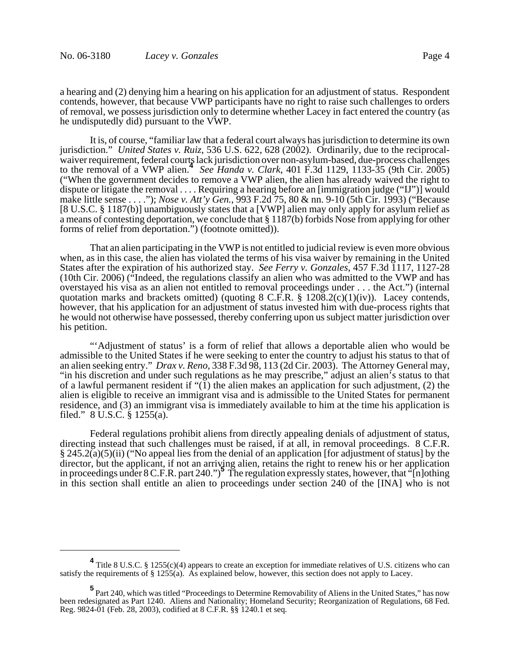a hearing and (2) denying him a hearing on his application for an adjustment of status. Respondent contends, however, that because VWP participants have no right to raise such challenges to orders of removal, we possess jurisdiction only to determine whether Lacey in fact entered the country (as he undisputedly did) pursuant to the VWP.

It is, of course, "familiar law that a federal court always has jurisdiction to determine its own jurisdiction." *United States v. Ruiz*, 536 U.S. 622, 628 (2002). Ordinarily, due to the reciprocalwaiver requirement, federal courts lack jurisdiction over non-asylum-based, due-process challenges to the removal of a VWP alien.**<sup>4</sup>** *See Handa v. Clark*, 401 F.3d 1129, 1133-35 (9th Cir. 2005) ("When the government decides to remove a VWP alien, the alien has already waived the right to dispute or litigate the removal . . . . Requiring a hearing before an [immigration judge ("IJ")] would make little sense . . . ."); *Nose v. Att'y Gen.*, 993 F.2d 75, 80 & nn. 9-10 (5th Cir. 1993) ("Because [8 U.S.C. § 1187(b)] unambiguously states that a [VWP] alien may only apply for asylum relief as a means of contesting deportation, we conclude that § 1187(b) forbids Nose from applying for other forms of relief from deportation.") (footnote omitted)).

That an alien participating in the VWP is not entitled to judicial review is even more obvious when, as in this case, the alien has violated the terms of his visa waiver by remaining in the United States after the expiration of his authorized stay. *See Ferry v. Gonzales*, 457 F.3d 1117, 1127-28 (10th Cir. 2006) ("Indeed, the regulations classify an alien who was admitted to the VWP and has overstayed his visa as an alien not entitled to removal proceedings under . . . the Act.") (internal quotation marks and brackets omitted) (quoting  $8 \text{ C.F.R. } \S 120\S 2(c)(1)(iv)$ ). Lacey contends, however, that his application for an adjustment of status invested him with due-process rights that he would not otherwise have possessed, thereby conferring upon us subject matter jurisdiction over his petition.

"'Adjustment of status' is a form of relief that allows a deportable alien who would be admissible to the United States if he were seeking to enter the country to adjust his status to that of an alien seeking entry." *Drax v. Reno*, 338 F.3d 98, 113 (2d Cir. 2003). The Attorney General may, "in his discretion and under such regulations as he may prescribe," adjust an alien's status to that of a lawful permanent resident if "(1) the alien makes an application for such adjustment, (2) the alien is eligible to receive an immigrant visa and is admissible to the United States for permanent residence, and (3) an immigrant visa is immediately available to him at the time his application is filed." 8 U.S.C. § 1255(a).

Federal regulations prohibit aliens from directly appealing denials of adjustment of status, directing instead that such challenges must be raised, if at all, in removal proceedings. 8 C.F.R.  $\S 245.2(a)(5)(ii)$  ("No appeal lies from the denial of an application [for adjustment of status] by the director, but the applicant, if not an arriving alien, retains the right to renew his or her application in proceedings under 8 C.F.R. part 240.")**<sup>5</sup>** The regulation expressly states, however, that "[n]othing in this section shall entitle an alien to proceedings under section 240 of the [INA] who is not

**<sup>4</sup>** Title 8 U.S.C. § 1255(c)(4) appears to create an exception for immediate relatives of U.S. citizens who can satisfy the requirements of  $\S 1255(a)$ . As explained below, however, this section does not apply to Lacey.

**<sup>5</sup>** Part 240, which was titled "Proceedings to Determine Removability of Aliens in the United States," has now been redesignated as Part 1240. Aliens and Nationality; Homeland Security; Reorganization of Regulations, 68 Fed. Reg. 9824-01 (Feb. 28, 2003), codified at 8 C.F.R. §§ 1240.1 et seq.